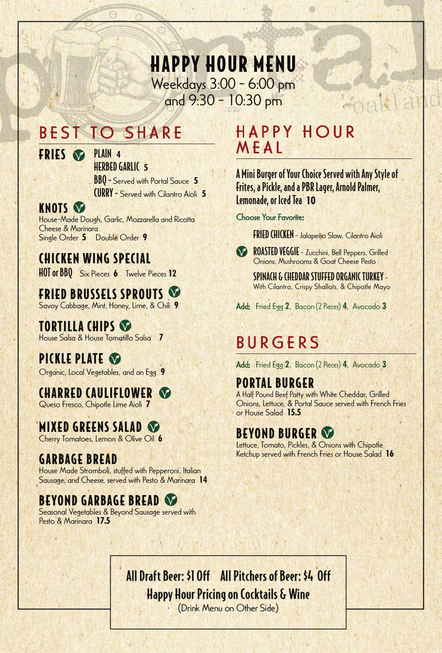## HAPPY HOUR MENU Weekdays 3:00 - 6:00 pm and 9:30 - 10:30 pm

# BEST TO SHARE

FRIES PLAIN **4**

## HERBED GARLIC **5**

BBQ - Served with Portal Sauce **5** CURRY - Served with Cilantro Aioli **5**

#### **KNOTS V**

House-Made Dough, Garlic, Mozzarella and Ricotta Cheese & Marinara Single Order **5** Double Order **9**

## CHICKEN WING SPECIAL

HOT or BBQ Six Pieces **6** Twelve Pieces **12**

## FRIED BRUSSELS SPROUTS

Savoy Cabbage, Mint, Honey, Lime, & Chili **9**

TORTILLA CHIPS House Salsa & House Tomatillo Salsa **7**

# PICKLE PLATE **O**

Organic, Local Vegetables, and an Egg **9**

#### CHARRED CAULIFLOWER Queso Fresco, Chipotle Lime Aioli **7**

### MIXED GREENS SALAD

Cherry Tomatoes, Lemon & Olive Oil **6**

# GARBAGE BREAD

House Made Stromboli, stuffed with Pepperoni, Italian Sausage, and Cheese, served with Pesto & Marinara **14**

## BEYOND GARBAGE BREAD

Seasonal Vegetables & Beyond Sausage served with Pesto & Marinara **17.5** 

# HAPPY HOUR MEAL

A Mini Burger of Your Choice Served with Any Style of Frites, a Pickle, and a PBR Lager, Arnold Palmer, Lemonade, or Iced Tea **10** 

léna

#### Choose Your Favorite:

FRIED CHICKEN - Jalapeño Slaw, Cilantro Aioli



ROASTED VEGGIE - Zucchini, Bell Peppers, Grilled Onions, Mushrooms & Goat Cheese Pesto

> SPINACH & CHEDDAR STUFFED ORGANIC TURKEY - With Cilantro, Crispy Shallots, & Chipotle Mayo

Add: Fried Egg **2**, Bacon (2 Pieces) **4**, Avocado **3**

# BURGERS

Add: Fried Egg **2**, Bacon (2 Pieces) **4**, Avocado **3**

#### PORTAL BURGER A Half Pound Beef Patty with White Cheddar, Grilled Onions, Lettuce, & Portal Sauce served with French Fries or House Salad **15.5**

### BEYOND BURGER

Lettuce, Tomato, Pickles, & Onions with Chipotle Ketchup served with French Fries or House Salad **16**

## All Draft Beer: \$1 Off All Pitchers of Beer: \$4 Off **Happy Hour Pricing on Cocktails & Wine**

(Drink Menu on Other Side)